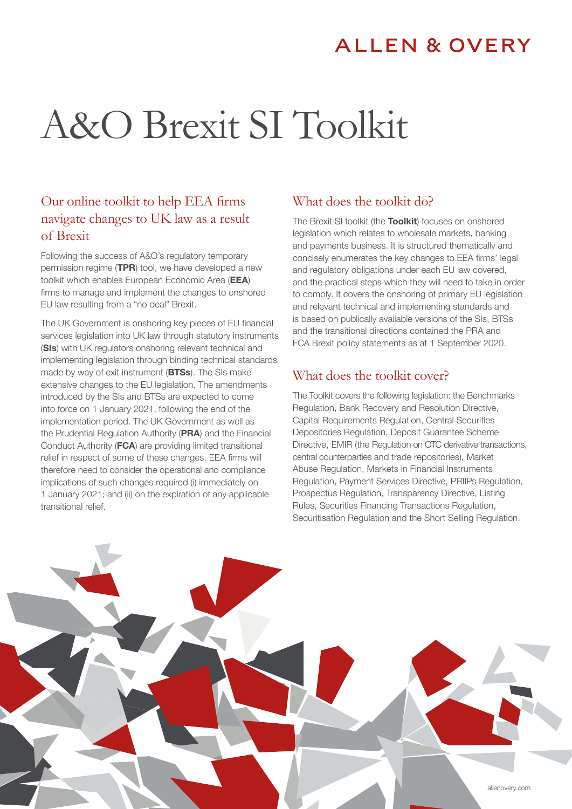## **ALLEN & OVERY**

# A&O Brexit SI Toolkit

## Our online toolkit to help EEA firms navigate changes to UK law as a result of Brexit

Following the success of A&O's regulatory temporary permission regime (TPR) tool, we have developed a new toolkit which enables European Economic Area (EEA) firms to manage and implement the changes to onshored EU law resulting from a "no deal" Brexit.

The UK Government is onshoring key pieces of EU financial services legislation into UK law through statutory instruments (SIs) with UK regulators onshoring relevant technical and implementing legislation through binding technical standards made by way of exit instrument (BTSs). The SIs make extensive changes to the EU legislation. The amendments introduced by the SIs and BTSs are expected to come into force on 1 January 2021, following the end of the implementation period. The UK Government as well as the Prudential Regulation Authority (PRA) and the Financial Conduct Authority (FCA) are providing limited transitional relief in respect of some of these changes. EEA firms will therefore need to consider the operational and compliance implications of such changes required (i) immediately on 1 January 2021; and (ii) on the expiration of any applicable transitional relief.

## What does the toolkit do?

The Brexit SI toolkit (the Toolkit) focuses on onshored legislation which relates to wholesale markets, banking and payments business. It is structured thematically and concisely enumerates the key changes to EEA firms' legal and regulatory obligations under each EU law covered, and the practical steps which they will need to take in order to comply. It covers the onshoring of primary EU legislation and relevant technical and implementing standards and is based on publically available versions of the SIs, BTSs and the transitional directions contained the PRA and FCA Brexit policy statements as at 1 September 2020.

## What does the toolkit cover?

The Toolkit covers the following legislation: the Benchmarks Regulation, Bank Recovery and Resolution Directive, Capital Requirements Regulation, Central Securities Depositories Regulation, Deposit Guarantee Scheme Directive, EMIR (the Regulation on OTC derivative transactions, central counterparties and trade repositories), Market Abuse Regulation, Markets in Financial Instruments Regulation, Payment Services Directive, PRIIPs Regulation, Prospectus Regulation, Transparency Directive, Listing Rules, Securities Financing Transactions Regulation, Securitisation Regulation and the Short Selling Regulation.